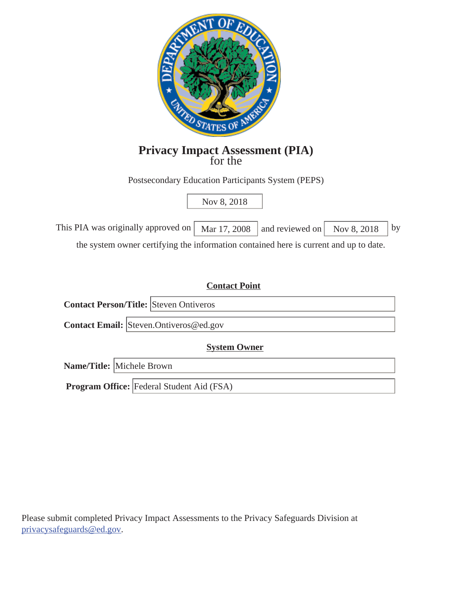

# **Privacy Impact Assessment (PIA)** for the

Postsecondary Education Participants System (PEPS)

# Nov 8, 2018

| This PIA was originally approved on $\vert$ Mar 17, 2008 $\vert$ and reviewed on $\vert$ Nov 8, 2018 $\vert$ by |  |  |
|-----------------------------------------------------------------------------------------------------------------|--|--|
|                                                                                                                 |  |  |

the system owner certifying the information contained here is current and up to date.

## **Contact Point**

**Contact Person/Title:**  Steven Ontiveros

**Contact Email:**  Steven.Ontiveros@ed.gov

**System Owner** 

**Name/Title:**  Michele Brown

**Program Office:**  Federal Student Aid (FSA)

Please submit completed Privacy Impact Assessments to the Privacy Safeguards Division at privacysafeguards@ed.gov.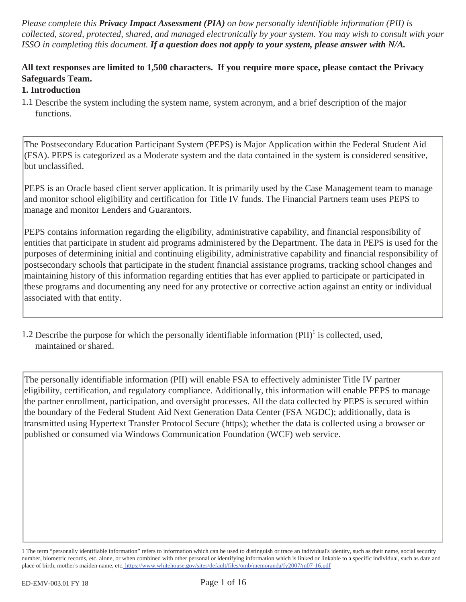*Please complete this Privacy Impact Assessment (PIA) on how personally identifiable information (PII) is collected, stored, protected, shared, and managed electronically by your system. You may wish to consult with your ISSO in completing this document. If a question does not apply to your system, please answer with N/A.* 

# **All text responses are limited to 1,500 characters. If you require more space, please contact the Privacy Safeguards Team.**

# **1. Introduction**

1.1 Describe the system including the system name, system acronym, and a brief description of the major functions.

The Postsecondary Education Participant System (PEPS) is Major Application within the Federal Student Aid (FSA). PEPS is categorized as a Moderate system and the data contained in the system is considered sensitive, but unclassified.

PEPS is an Oracle based client server application. It is primarily used by the Case Management team to manage and monitor school eligibility and certification for Title IV funds. The Financial Partners team uses PEPS to manage and monitor Lenders and Guarantors.

PEPS contains information regarding the eligibility, administrative capability, and financial responsibility of entities that participate in student aid programs administered by the Department. The data in PEPS is used for the purposes of determining initial and continuing eligibility, administrative capability and financial responsibility of postsecondary schools that participate in the student financial assistance programs, tracking school changes and maintaining history of this information regarding entities that has ever applied to participate or participated in these programs and documenting any need for any protective or corrective action against an entity or individual associated with that entity.

1.2 Describe the purpose for which the personally identifiable information  $(PII)^1$  is collected, used, maintained or shared.

The personally identifiable information (PII) will enable FSA to effectively administer Title IV partner eligibility, certification, and regulatory compliance. Additionally, this information will enable PEPS to manage the partner enrollment, participation, and oversight processes. All the data collected by PEPS is secured within the boundary of the Federal Student Aid Next Generation Data Center (FSA NGDC); additionally, data is transmitted using Hypertext Transfer Protocol Secure (https); whether the data is collected using a browser or published or consumed via Windows Communication Foundation (WCF) web service.

<sup>1</sup> The term "personally identifiable information" refers to information which can be used to distinguish or trace an individual's identity, such as their name, social security number, biometric records, etc. alone, or when combined with other personal or identifying information which is linked or linkable to a specific individual, such as date and place of birth, mother's maiden name, etc. https://www.whitehouse.gov/sites/default/files/omb/memoranda/fy2007/m07-16.pdf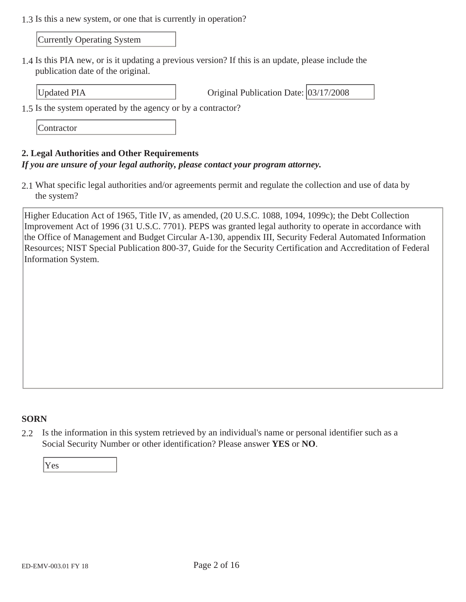1.3 Is this a new system, or one that is currently in operation?

Currently Operating System

1.4 Is this PIA new, or is it updating a previous version? If this is an update, please include the publication date of the original.

Updated PIA **Original Publication Date:** 03/17/2008

1.5 Is the system operated by the agency or by a contractor?

**Contractor** 

#### **2. Legal Authorities and Other Requirements**

#### *If you are unsure of your legal authority, please contact your program attorney.*

2.1 What specific legal authorities and/or agreements permit and regulate the collection and use of data by the system?

Higher Education Act of 1965, Title IV, as amended, (20 U.S.C. 1088, 1094, 1099c); the Debt Collection Improvement Act of 1996 (31 U.S.C. 7701). PEPS was granted legal authority to operate in accordance with the Office of Management and Budget Circular A-130, appendix III, Security Federal Automated Information Resources; NIST Special Publication 800-37, Guide for the Security Certification and Accreditation of Federal Information System.

### **SORN**

2.2 Is the information in this system retrieved by an individual's name or personal identifier such as a Social Security Number or other identification? Please answer **YES** or **NO**.

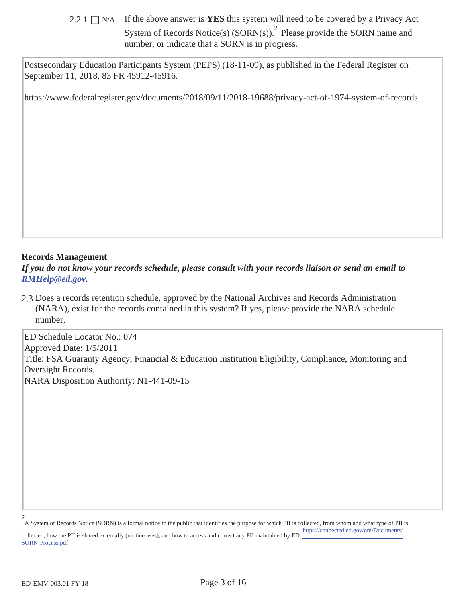2.2.1  $\Box$  N/A If the above answer is **YES** this system will need to be covered by a Privacy Act System of Records Notice(s)  $(SORN(s))$ .<sup>2</sup> Please provide the SORN name and number, or indicate that a SORN is in progress.

Postsecondary Education Participants System (PEPS) (18-11-09), as published in the Federal Register on September 11, 2018, 83 FR 45912-45916.

https://www.federalregister.gov/documents/2018/09/11/2018-19688/privacy-act-of-1974-system-of-records

#### **Records Management**

*If you do not know your records schedule, please consult with your records liaison or send an email to RMHelp@ed.gov.* 

2.3 Does a records retention schedule, approved by the National Archives and Records Administration (NARA), exist for the records contained in this system? If yes, please provide the NARA schedule number.

ED Schedule Locator No.: 074 Approved Date: 1/5/2011 Title: FSA Guaranty Agency, Financial & Education Institution Eligibility, Compliance, Monitoring and Oversight Records. NARA Disposition Authority: N1-441-09-15

A System of Records Notice (SORN) is a formal notice to the public that identifies the purpose for which PII is collected, from whom and what type of PII is 2 https://connected.ed.gov/om/Documents/

collected, how the PII is shared externally (routine uses), and how to access and correct any PII maintained by ED. SORN-Process.pdf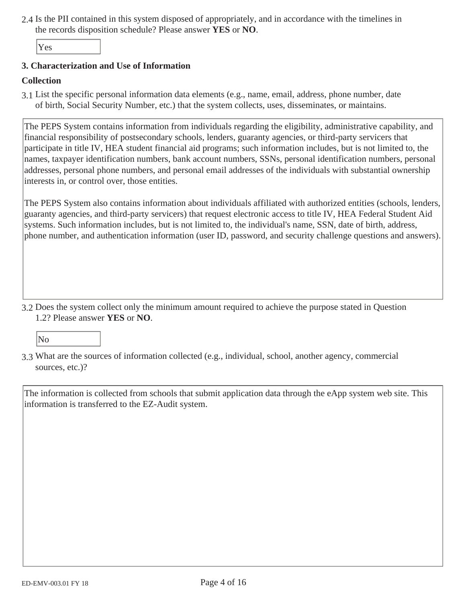2.4 Is the PII contained in this system disposed of appropriately, and in accordance with the timelines in the records disposition schedule? Please answer **YES** or **NO**.

Yes

#### **3. Characterization and Use of Information**

#### **Collection**

3.1 List the specific personal information data elements (e.g., name, email, address, phone number, date of birth, Social Security Number, etc.) that the system collects, uses, disseminates, or maintains.

The PEPS System contains information from individuals regarding the eligibility, administrative capability, and financial responsibility of postsecondary schools, lenders, guaranty agencies, or third-party servicers that participate in title IV, HEA student financial aid programs; such information includes, but is not limited to, the names, taxpayer identification numbers, bank account numbers, SSNs, personal identification numbers, personal addresses, personal phone numbers, and personal email addresses of the individuals with substantial ownership interests in, or control over, those entities.

The PEPS System also contains information about individuals affiliated with authorized entities (schools, lenders, guaranty agencies, and third-party servicers) that request electronic access to title IV, HEA Federal Student Aid systems. Such information includes, but is not limited to, the individual's name, SSN, date of birth, address, phone number, and authentication information (user ID, password, and security challenge questions and answers).

3.2 Does the system collect only the minimum amount required to achieve the purpose stated in Question 1.2? Please answer **YES** or **NO**.

No

3.3 What are the sources of information collected (e.g., individual, school, another agency, commercial sources, etc.)?

The information is collected from schools that submit application data through the eApp system web site. This information is transferred to the EZ-Audit system.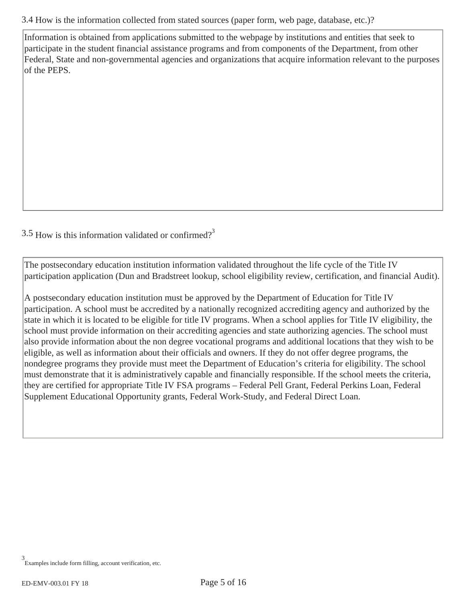3.4 How is the information collected from stated sources (paper form, web page, database, etc.)?

Information is obtained from applications submitted to the webpage by institutions and entities that seek to participate in the student financial assistance programs and from components of the Department, from other Federal, State and non-governmental agencies and organizations that acquire information relevant to the purposes of the PEPS.

 $3.5$  How is this information validated or confirmed?<sup>3</sup>

The postsecondary education institution information validated throughout the life cycle of the Title IV participation application (Dun and Bradstreet lookup, school eligibility review, certification, and financial Audit).

A postsecondary education institution must be approved by the Department of Education for Title IV participation. A school must be accredited by a nationally recognized accrediting agency and authorized by the state in which it is located to be eligible for title IV programs. When a school applies for Title IV eligibility, the school must provide information on their accrediting agencies and state authorizing agencies. The school must also provide information about the non degree vocational programs and additional locations that they wish to be eligible, as well as information about their officials and owners. If they do not offer degree programs, the nondegree programs they provide must meet the Department of Education's criteria for eligibility. The school must demonstrate that it is administratively capable and financially responsible. If the school meets the criteria, they are certified for appropriate Title IV FSA programs – Federal Pell Grant, Federal Perkins Loan, Federal Supplement Educational Opportunity grants, Federal Work-Study, and Federal Direct Loan.

Examples include form filling, account verification, etc. 3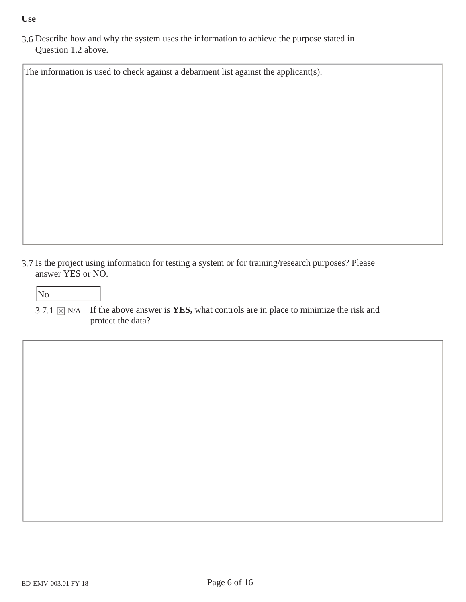#### **Use**

3.6 Describe how and why the system uses the information to achieve the purpose stated in Question 1.2 above.

The information is used to check against a debarment list against the applicant(s).

- 3.7 Is the project using information for testing a system or for training/research purposes? Please answer YES or NO.
	- No
	- 3.7.1  $\boxtimes$  N/A If the above answer is **YES**, what controls are in place to minimize the risk and protect the data?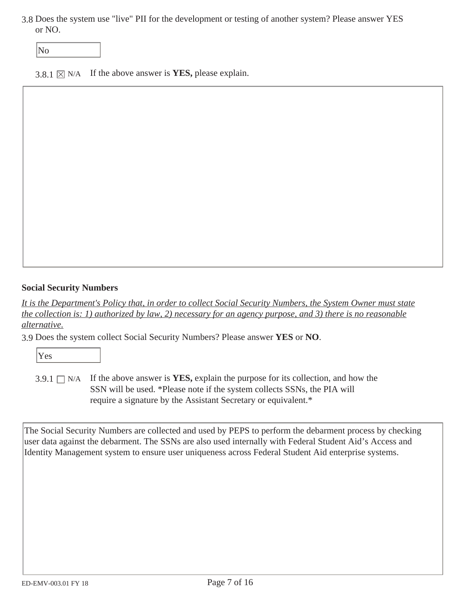3.8 Does the system use "live" PII for the development or testing of another system? Please answer YES or NO.

No

3.8.1  $\times$  N/A If the above answer is **YES**, please explain.

#### **Social Security Numbers**

*It is the Department's Policy that, in order to collect Social Security Numbers, the System Owner must state the collection is: 1) authorized by law, 2) necessary for an agency purpose, and 3) there is no reasonable alternative.* 

3.9 Does the system collect Social Security Numbers? Please answer **YES** or **NO**.

Yes

3.9.1  $\Box$  N/A If the above answer is **YES**, explain the purpose for its collection, and how the SSN will be used. \*Please note if the system collects SSNs, the PIA will require a signature by the Assistant Secretary or equivalent.\*

The Social Security Numbers are collected and used by PEPS to perform the debarment process by checking user data against the debarment. The SSNs are also used internally with Federal Student Aid's Access and Identity Management system to ensure user uniqueness across Federal Student Aid enterprise systems.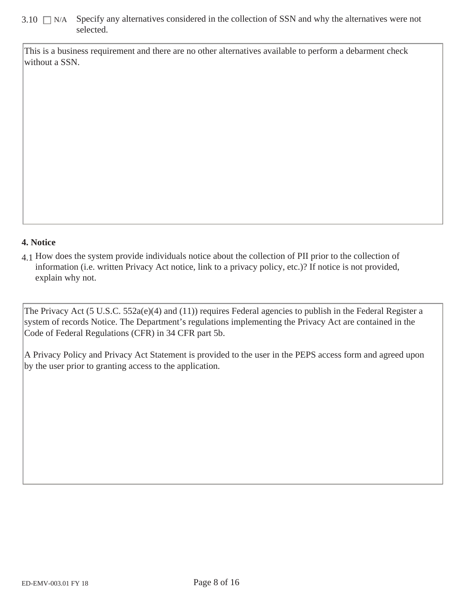## $3.10$   $\Box$  N/A Specify any alternatives considered in the collection of SSN and why the alternatives were not selected.

This is a business requirement and there are no other alternatives available to perform a debarment check without a SSN.

### **4. Notice**

4.1 How does the system provide individuals notice about the collection of PII prior to the collection of information (i.e. written Privacy Act notice, link to a privacy policy, etc.)? If notice is not provided, explain why not.

The Privacy Act (5 U.S.C. 552a(e)(4) and (11)) requires Federal agencies to publish in the Federal Register a system of records Notice. The Department's regulations implementing the Privacy Act are contained in the Code of Federal Regulations (CFR) in 34 CFR part 5b.

A Privacy Policy and Privacy Act Statement is provided to the user in the PEPS access form and agreed upon by the user prior to granting access to the application.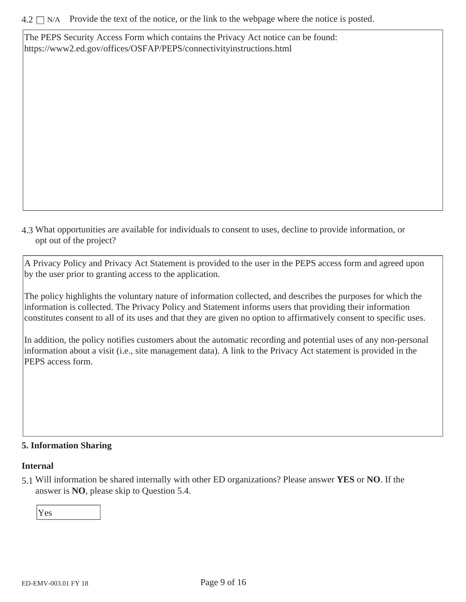The PEPS Security Access Form which contains the Privacy Act notice can be found: https://www2.ed.gov/offices/OSFAP/PEPS/connectivityinstructions.html

4.3 What opportunities are available for individuals to consent to uses, decline to provide information, or opt out of the project?

A Privacy Policy and Privacy Act Statement is provided to the user in the PEPS access form and agreed upon by the user prior to granting access to the application.

The policy highlights the voluntary nature of information collected, and describes the purposes for which the information is collected. The Privacy Policy and Statement informs users that providing their information constitutes consent to all of its uses and that they are given no option to affirmatively consent to specific uses.

In addition, the policy notifies customers about the automatic recording and potential uses of any non-personal information about a visit (i.e., site management data). A link to the Privacy Act statement is provided in the PEPS access form.

### **5. Information Sharing**

#### **Internal**

5.1 Will information be shared internally with other ED organizations? Please answer **YES** or **NO**. If the answer is **NO**, please skip to Question 5.4.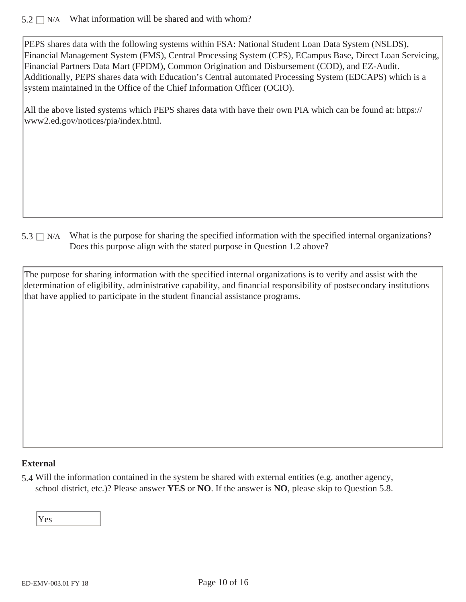### $5.2 \Box$  N/A What information will be shared and with whom?

PEPS shares data with the following systems within FSA: National Student Loan Data System (NSLDS), Financial Management System (FMS), Central Processing System (CPS), ECampus Base, Direct Loan Servicing, Financial Partners Data Mart (FPDM), Common Origination and Disbursement (COD), and EZ-Audit. Additionally, PEPS shares data with Education's Central automated Processing System (EDCAPS) which is a system maintained in the Office of the Chief Information Officer (OCIO).

All the above listed systems which PEPS shares data with have their own PIA which can be found at: https:// www2.ed.gov/notices/pia/index.html.

 $5.3 \Box$  N/A What is the purpose for sharing the specified information with the specified internal organizations? Does this purpose align with the stated purpose in Question 1.2 above?

The purpose for sharing information with the specified internal organizations is to verify and assist with the determination of eligibility, administrative capability, and financial responsibility of postsecondary institutions that have applied to participate in the student financial assistance programs.

### **External**

5.4 Will the information contained in the system be shared with external entities (e.g. another agency, school district, etc.)? Please answer **YES** or **NO**. If the answer is **NO**, please skip to Question 5.8.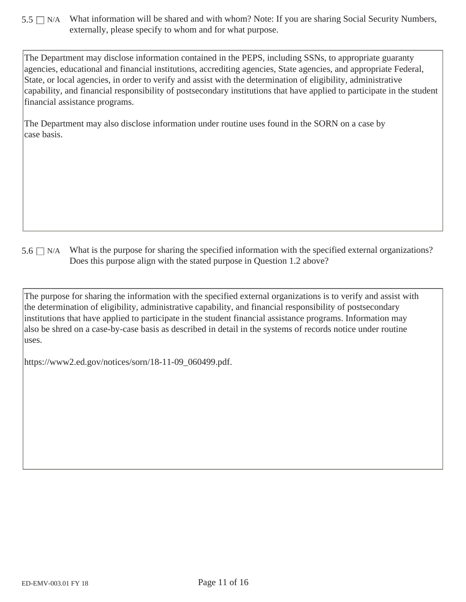$5.5 \Box$  N/A What information will be shared and with whom? Note: If you are sharing Social Security Numbers, externally, please specify to whom and for what purpose.

The Department may disclose information contained in the PEPS, including SSNs, to appropriate guaranty agencies, educational and financial institutions, accrediting agencies, State agencies, and appropriate Federal, State, or local agencies, in order to verify and assist with the determination of eligibility, administrative capability, and financial responsibility of postsecondary institutions that have applied to participate in the student financial assistance programs.

The Department may also disclose information under routine uses found in the SORN on a case by case basis.

 $5.6 \Box$  N/A What is the purpose for sharing the specified information with the specified external organizations? Does this purpose align with the stated purpose in Question 1.2 above?

The purpose for sharing the information with the specified external organizations is to verify and assist with the determination of eligibility, administrative capability, and financial responsibility of postsecondary institutions that have applied to participate in the student financial assistance programs. Information may also be shred on a case-by-case basis as described in detail in the systems of records notice under routine uses.

https://www2.ed.gov/notices/sorn/18-11-09\_060499.pdf.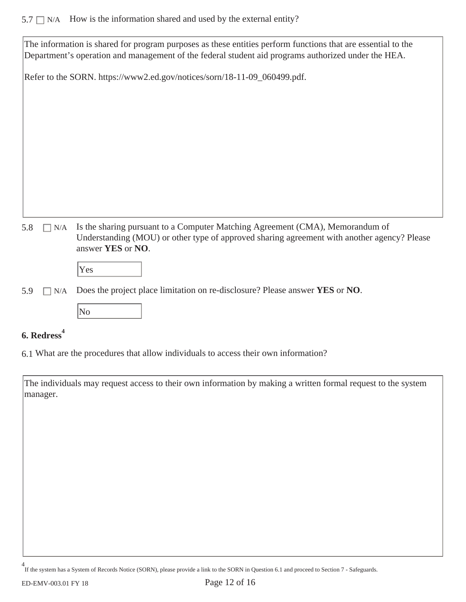# $5.7 \Box$  N/A How is the information shared and used by the external entity?

| The information is shared for program purposes as these entities perform functions that are essential to the<br>Department's operation and management of the federal student aid programs authorized under the HEA.    |
|------------------------------------------------------------------------------------------------------------------------------------------------------------------------------------------------------------------------|
| Refer to the SORN. https://www2.ed.gov/notices/sorn/18-11-09_060499.pdf.                                                                                                                                               |
| Is the sharing pursuant to a Computer Matching Agreement (CMA), Memorandum of<br>5.8<br>N/A<br>Understanding (MOU) or other type of approved sharing agreement with another agency? Please<br>answer YES or NO.<br>Yes |

5.9 N/A Does the project place limitation on re-disclosure? Please answer **YES** or **NO**.



# **6. Redress<sup>4</sup>**

6.1 What are the procedures that allow individuals to access their own information?

The individuals may request access to their own information by making a written formal request to the system manager.

<sup>&</sup>lt;sup>+</sup> If the system has a System of Records Notice (SORN), please provide a link to the SORN in Question 6.1 and proceed to Section 7 - Safeguards. 4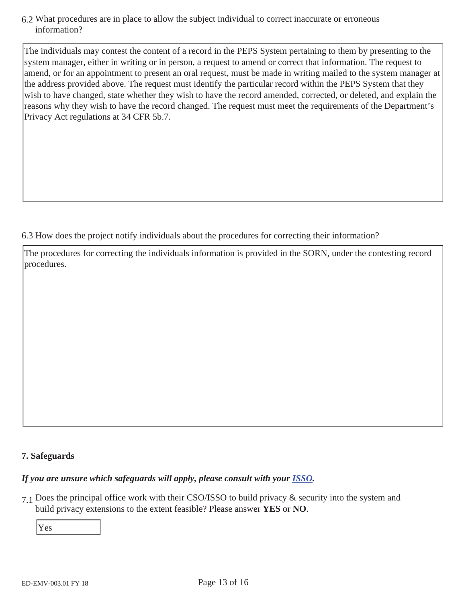6.2 What procedures are in place to allow the subject individual to correct inaccurate or erroneous information?

The individuals may contest the content of a record in the PEPS System pertaining to them by presenting to the system manager, either in writing or in person, a request to amend or correct that information. The request to amend, or for an appointment to present an oral request, must be made in writing mailed to the system manager at the address provided above. The request must identify the particular record within the PEPS System that they wish to have changed, state whether they wish to have the record amended, corrected, or deleted, and explain the reasons why they wish to have the record changed. The request must meet the requirements of the Department's Privacy Act regulations at 34 CFR 5b.7.

6.3 How does the project notify individuals about the procedures for correcting their information?

The procedures for correcting the individuals information is provided in the SORN, under the contesting record procedures.

# **7. Safeguards**

# *If you are unsure which safeguards will apply, please consult with your ISSO.*

7.1 Does the principal office work with their CSO/ISSO to build privacy & security into the system and build privacy extensions to the extent feasible? Please answer **YES** or **NO**.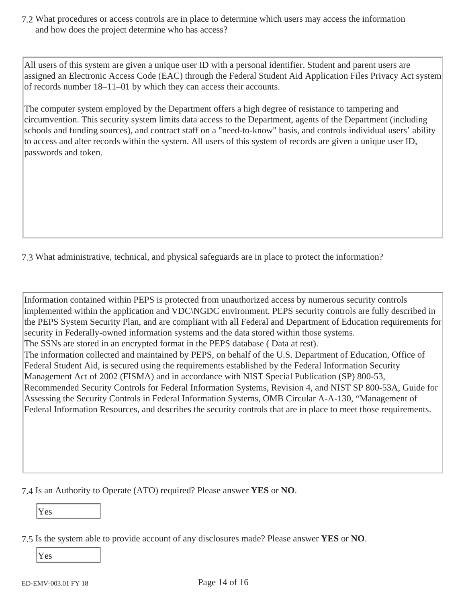7.2 What procedures or access controls are in place to determine which users may access the information and how does the project determine who has access?

All users of this system are given a unique user ID with a personal identifier. Student and parent users are assigned an Electronic Access Code (EAC) through the Federal Student Aid Application Files Privacy Act system of records number 18–11–01 by which they can access their accounts.

The computer system employed by the Department offers a high degree of resistance to tampering and circumvention. This security system limits data access to the Department, agents of the Department (including schools and funding sources), and contract staff on a "need-to-know" basis, and controls individual users' ability to access and alter records within the system. All users of this system of records are given a unique user ID, passwords and token.

7.3 What administrative, technical, and physical safeguards are in place to protect the information?

Information contained within PEPS is protected from unauthorized access by numerous security controls implemented within the application and VDC\NGDC environment. PEPS security controls are fully described in the PEPS System Security Plan, and are compliant with all Federal and Department of Education requirements for security in Federally-owned information systems and the data stored within those systems. The SSNs are stored in an encrypted format in the PEPS database ( Data at rest). The information collected and maintained by PEPS, on behalf of the U.S. Department of Education, Office of Federal Student Aid, is secured using the requirements established by the Federal Information Security Management Act of 2002 (FISMA) and in accordance with NIST Special Publication (SP) 800-53, Recommended Security Controls for Federal Information Systems, Revision 4, and NIST SP 800-53A, Guide for Assessing the Security Controls in Federal Information Systems, OMB Circular A-A-130, "Management of Federal Information Resources, and describes the security controls that are in place to meet those requirements.

7.4 Is an Authority to Operate (ATO) required? Please answer **YES** or **NO**.

Yes

7.5 Is the system able to provide account of any disclosures made? Please answer **YES** or **NO**.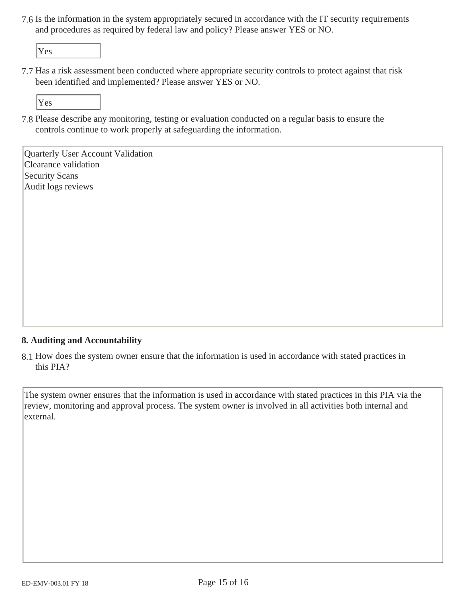7.6 Is the information in the system appropriately secured in accordance with the IT security requirements and procedures as required by federal law and policy? Please answer YES or NO.

Yes

7.7 Has a risk assessment been conducted where appropriate security controls to protect against that risk been identified and implemented? Please answer YES or NO.

Yes

7.8 Please describe any monitoring, testing or evaluation conducted on a regular basis to ensure the controls continue to work properly at safeguarding the information.

Quarterly User Account Validation Clearance validation Security Scans Audit logs reviews

# **8. Auditing and Accountability**

8.1 How does the system owner ensure that the information is used in accordance with stated practices in this PIA?

The system owner ensures that the information is used in accordance with stated practices in this PIA via the review, monitoring and approval process. The system owner is involved in all activities both internal and external.